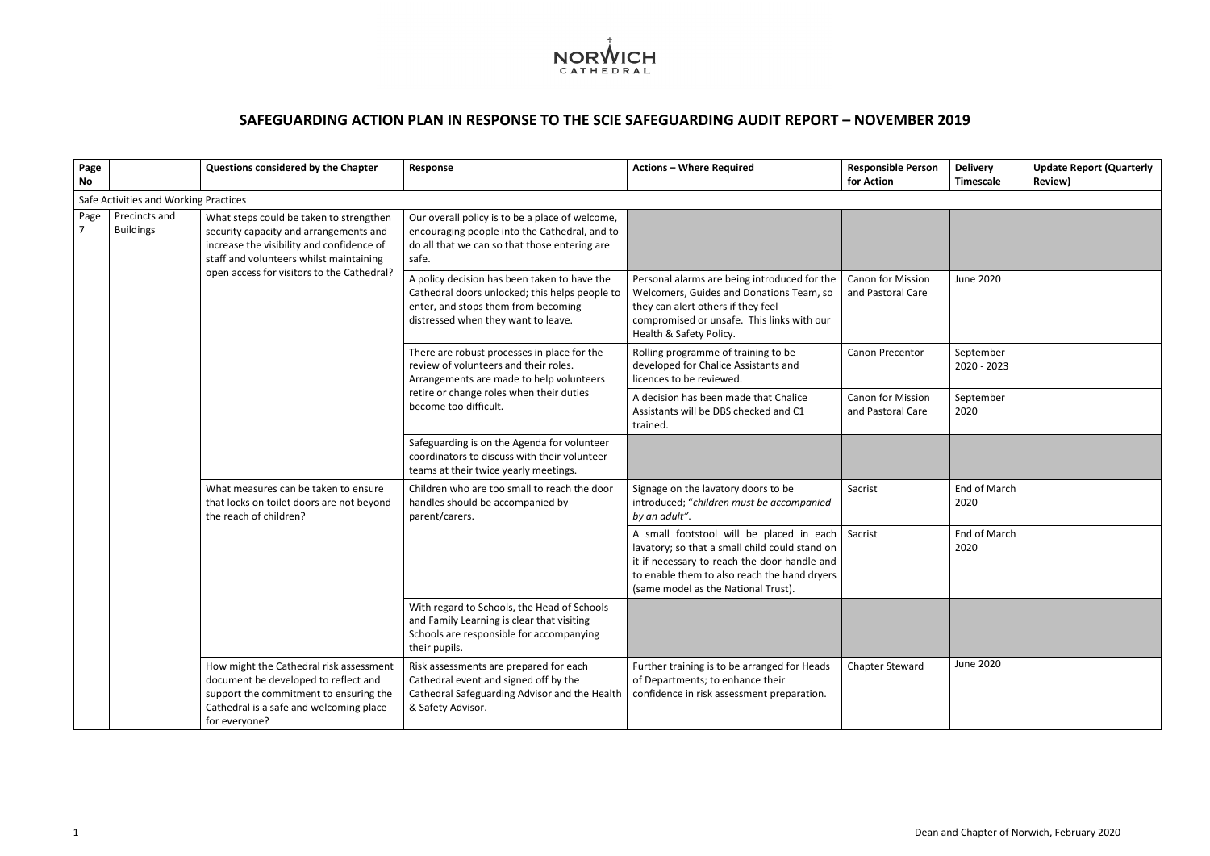

## **SAFEGUARDING ACTION PLAN IN RESPONSE TO THE SCIE SAFEGUARDING AUDIT REPORT – NOVEMBER 2019**

| Page<br>No |                                       | Questions considered by the Chapter                                                                                                                                                                                     | <b>Response</b>                                                                                                                                                                                       | <b>Actions - Where Required</b>                                                                                                                                                                                                   | <b>Responsible Person</b><br>for Action       | <b>Delivery</b><br><b>Timescale</b> | <b>Update Report (Quarterly</b><br><b>Review)</b> |
|------------|---------------------------------------|-------------------------------------------------------------------------------------------------------------------------------------------------------------------------------------------------------------------------|-------------------------------------------------------------------------------------------------------------------------------------------------------------------------------------------------------|-----------------------------------------------------------------------------------------------------------------------------------------------------------------------------------------------------------------------------------|-----------------------------------------------|-------------------------------------|---------------------------------------------------|
|            | Safe Activities and Working Practices |                                                                                                                                                                                                                         |                                                                                                                                                                                                       |                                                                                                                                                                                                                                   |                                               |                                     |                                                   |
| Page       | Precincts and<br><b>Buildings</b>     | What steps could be taken to strengthen<br>security capacity and arrangements and<br>increase the visibility and confidence of<br>staff and volunteers whilst maintaining<br>open access for visitors to the Cathedral? | Our overall policy is to be a place of welcome,<br>encouraging people into the Cathedral, and to<br>do all that we can so that those entering are<br>safe.                                            |                                                                                                                                                                                                                                   |                                               |                                     |                                                   |
|            |                                       |                                                                                                                                                                                                                         | A policy decision has been taken to have the<br>Cathedral doors unlocked; this helps people to<br>enter, and stops them from becoming<br>distressed when they want to leave.                          | Personal alarms are being introduced for the<br>Welcomers, Guides and Donations Team, so<br>they can alert others if they feel<br>compromised or unsafe. This links with our<br>Health & Safety Policy.                           | Canon for Mission<br>and Pastoral Care        | June 2020                           |                                                   |
|            |                                       |                                                                                                                                                                                                                         | There are robust processes in place for the<br>review of volunteers and their roles.<br>Arrangements are made to help volunteers<br>retire or change roles when their duties<br>become too difficult. | Rolling programme of training to be<br>developed for Chalice Assistants and<br>licences to be reviewed.                                                                                                                           | Canon Precentor                               | September<br>2020 - 2023            |                                                   |
|            |                                       |                                                                                                                                                                                                                         |                                                                                                                                                                                                       | A decision has been made that Chalice<br>Assistants will be DBS checked and C1<br>trained.                                                                                                                                        | <b>Canon for Mission</b><br>and Pastoral Care | September<br>2020                   |                                                   |
|            |                                       |                                                                                                                                                                                                                         | Safeguarding is on the Agenda for volunteer<br>coordinators to discuss with their volunteer<br>teams at their twice yearly meetings.                                                                  |                                                                                                                                                                                                                                   |                                               |                                     |                                                   |
|            |                                       | What measures can be taken to ensure<br>that locks on toilet doors are not beyond<br>the reach of children?                                                                                                             | Children who are too small to reach the door<br>handles should be accompanied by<br>parent/carers.                                                                                                    | Signage on the lavatory doors to be<br>introduced; "children must be accompanied<br>by an adult".                                                                                                                                 | Sacrist                                       | End of March<br>2020                |                                                   |
|            |                                       |                                                                                                                                                                                                                         |                                                                                                                                                                                                       | A small footstool will be placed in each<br>lavatory; so that a small child could stand on<br>it if necessary to reach the door handle and<br>to enable them to also reach the hand dryers<br>(same model as the National Trust). | Sacrist                                       | End of March<br>2020                |                                                   |
|            |                                       |                                                                                                                                                                                                                         | With regard to Schools, the Head of Schools<br>and Family Learning is clear that visiting<br>Schools are responsible for accompanying<br>their pupils.                                                |                                                                                                                                                                                                                                   |                                               |                                     |                                                   |
|            |                                       | How might the Cathedral risk assessment<br>document be developed to reflect and<br>support the commitment to ensuring the<br>Cathedral is a safe and welcoming place<br>for everyone?                                   | Risk assessments are prepared for each<br>Cathedral event and signed off by the<br>Cathedral Safeguarding Advisor and the Health<br>& Safety Advisor.                                                 | Further training is to be arranged for Heads<br>of Departments; to enhance their<br>confidence in risk assessment preparation.                                                                                                    | <b>Chapter Steward</b>                        | June 2020                           |                                                   |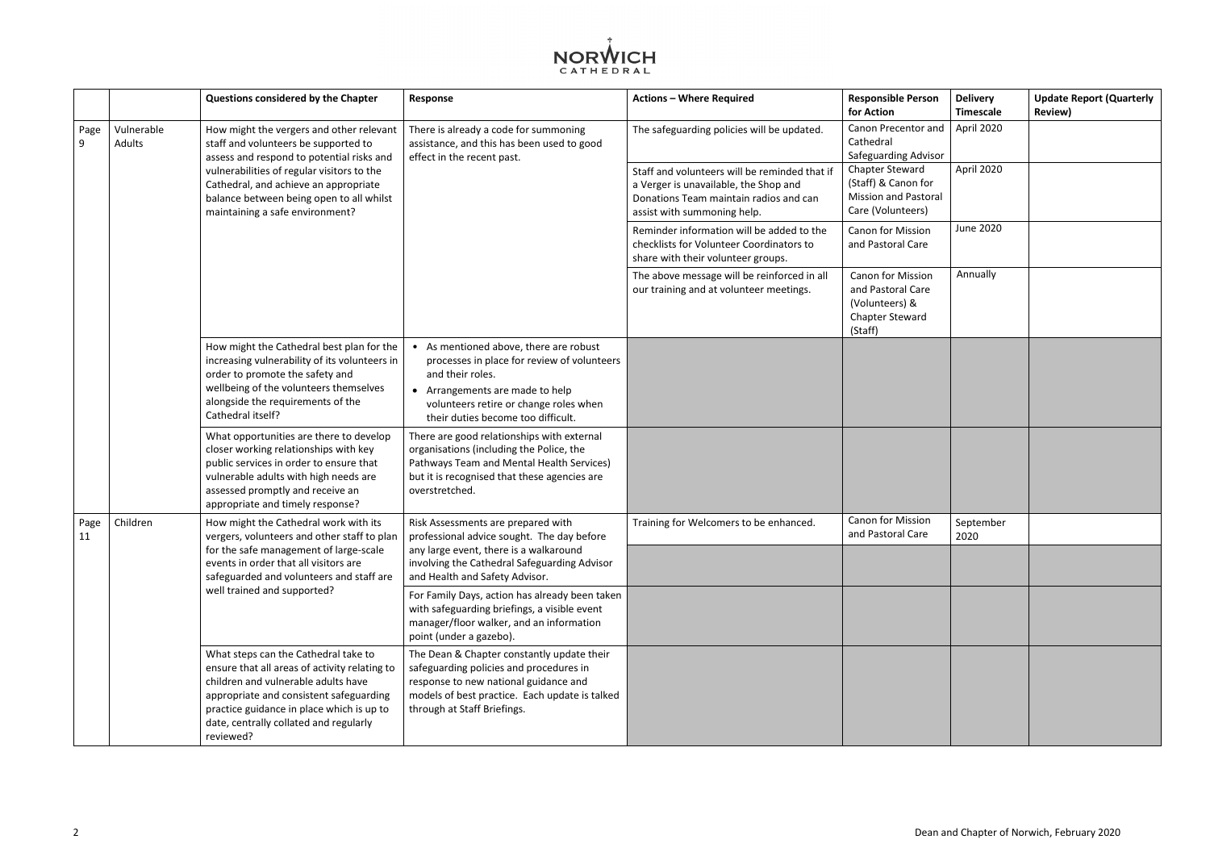| erson                                   | <b>Delivery</b><br><b>Timescale</b> | <b>Update Report (Quarterly</b><br><b>Review)</b> |
|-----------------------------------------|-------------------------------------|---------------------------------------------------|
| or and                                  | April 2020                          |                                                   |
| dvisor<br>rd<br>for ו<br>istoral<br>rs) | April 2020                          |                                                   |
| ion<br>are                              | <b>June 2020</b>                    |                                                   |
| sion<br>are<br>į.<br>ırd                | Annually                            |                                                   |
|                                         |                                     |                                                   |
|                                         |                                     |                                                   |
| ion<br>are                              | September<br>2020                   |                                                   |
|                                         |                                     |                                                   |
|                                         |                                     |                                                   |
|                                         |                                     |                                                   |
|                                         |                                     |                                                   |



|            |                      | Questions considered by the Chapter                                                                                                                                                                                                                                         | Response                                                                                                                                                                                                                   | <b>Actions - Where Required</b>                                                                                                                                 | <b>Responsible Person</b><br>for Action                                                              |
|------------|----------------------|-----------------------------------------------------------------------------------------------------------------------------------------------------------------------------------------------------------------------------------------------------------------------------|----------------------------------------------------------------------------------------------------------------------------------------------------------------------------------------------------------------------------|-----------------------------------------------------------------------------------------------------------------------------------------------------------------|------------------------------------------------------------------------------------------------------|
| Page<br>9  | Vulnerable<br>Adults | How might the vergers and other relevant<br>staff and volunteers be supported to<br>assess and respond to potential risks and                                                                                                                                               | There is already a code for summoning<br>assistance, and this has been used to good<br>effect in the recent past.                                                                                                          | The safeguarding policies will be updated.                                                                                                                      | Canon Precentor and<br>Cathedral<br>Safeguarding Advisor                                             |
|            |                      | vulnerabilities of regular visitors to the<br>Cathedral, and achieve an appropriate<br>balance between being open to all whilst<br>maintaining a safe environment?                                                                                                          |                                                                                                                                                                                                                            | Staff and volunteers will be reminded that if<br>a Verger is unavailable, the Shop and<br>Donations Team maintain radios and can<br>assist with summoning help. | <b>Chapter Steward</b><br>(Staff) & Canon for<br><b>Mission and Pastoral</b><br>Care (Volunteers)    |
|            |                      |                                                                                                                                                                                                                                                                             |                                                                                                                                                                                                                            | Reminder information will be added to the<br>checklists for Volunteer Coordinators to<br>share with their volunteer groups.                                     | <b>Canon for Mission</b><br>and Pastoral Care                                                        |
|            |                      |                                                                                                                                                                                                                                                                             |                                                                                                                                                                                                                            | The above message will be reinforced in all<br>our training and at volunteer meetings.                                                                          | <b>Canon for Mission</b><br>and Pastoral Care<br>(Volunteers) &<br><b>Chapter Steward</b><br>(Staff) |
|            |                      | How might the Cathedral best plan for the<br>increasing vulnerability of its volunteers in<br>order to promote the safety and<br>wellbeing of the volunteers themselves<br>alongside the requirements of the<br>Cathedral itself?                                           | As mentioned above, there are robust<br>processes in place for review of volunteers<br>and their roles.<br>• Arrangements are made to help<br>volunteers retire or change roles when<br>their duties become too difficult. |                                                                                                                                                                 |                                                                                                      |
|            |                      | What opportunities are there to develop<br>closer working relationships with key<br>public services in order to ensure that<br>vulnerable adults with high needs are<br>assessed promptly and receive an<br>appropriate and timely response?                                | There are good relationships with external<br>organisations (including the Police, the<br>Pathways Team and Mental Health Services)<br>but it is recognised that these agencies are<br>overstretched.                      |                                                                                                                                                                 |                                                                                                      |
| Page<br>11 | Children             | How might the Cathedral work with its<br>vergers, volunteers and other staff to plan<br>for the safe management of large-scale<br>events in order that all visitors are<br>safeguarded and volunteers and staff are<br>well trained and supported?                          | Risk Assessments are prepared with<br>professional advice sought. The day before<br>any large event, there is a walkaround                                                                                                 | Training for Welcomers to be enhanced.                                                                                                                          | <b>Canon for Mission</b><br>and Pastoral Care                                                        |
|            |                      |                                                                                                                                                                                                                                                                             | involving the Cathedral Safeguarding Advisor<br>and Health and Safety Advisor.                                                                                                                                             |                                                                                                                                                                 |                                                                                                      |
|            |                      |                                                                                                                                                                                                                                                                             | For Family Days, action has already been taken<br>with safeguarding briefings, a visible event<br>manager/floor walker, and an information<br>point (under a gazebo).                                                      |                                                                                                                                                                 |                                                                                                      |
|            |                      | What steps can the Cathedral take to<br>ensure that all areas of activity relating to<br>children and vulnerable adults have<br>appropriate and consistent safeguarding<br>practice guidance in place which is up to<br>date, centrally collated and regularly<br>reviewed? | The Dean & Chapter constantly update their<br>safeguarding policies and procedures in<br>response to new national guidance and<br>models of best practice. Each update is talked<br>through at Staff Briefings.            |                                                                                                                                                                 |                                                                                                      |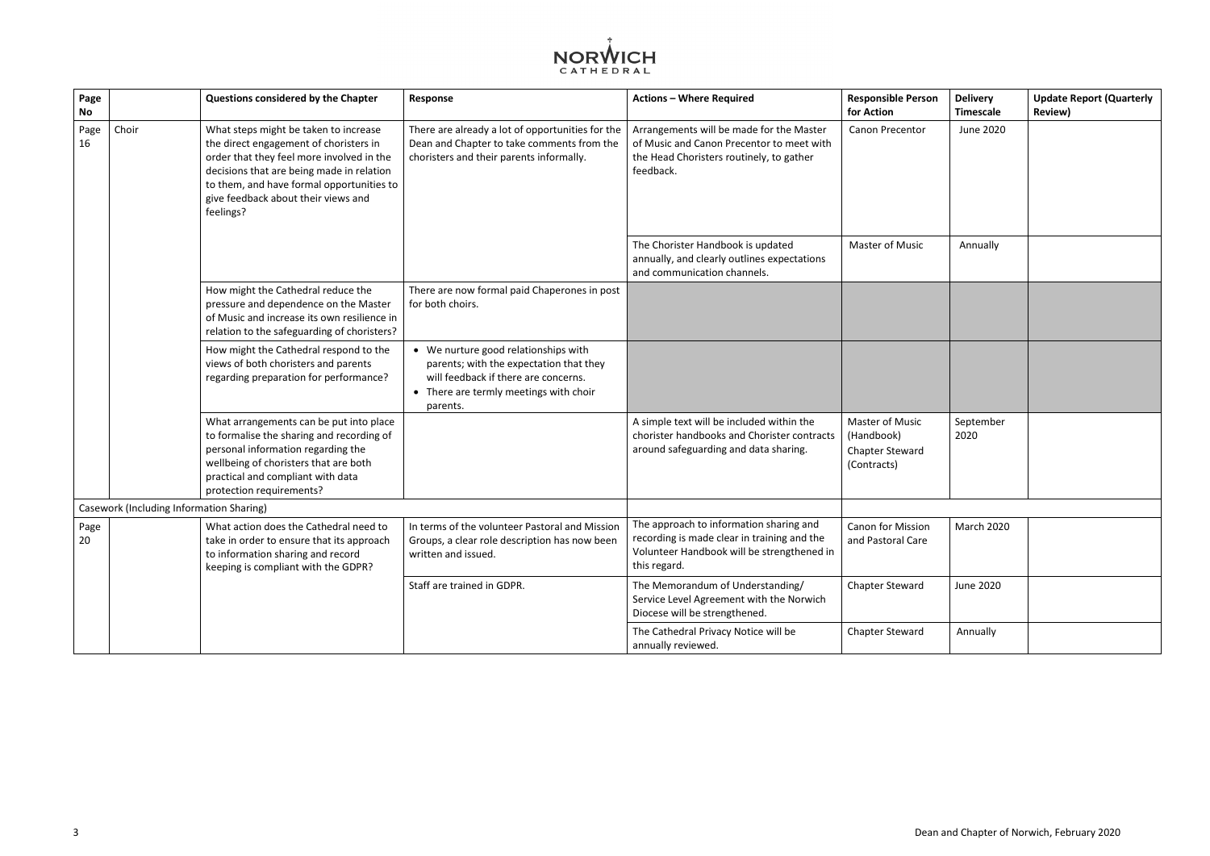

| Page<br>No |                                                 | Questions considered by the Chapter                                                                                                                                                                                                                                        | Response                                                                                                                                                                      | <b>Actions - Where Required</b>                                                                                                                      | <b>Responsible Person</b><br>for Action                                | <b>Delivery</b><br><b>Timescale</b> | <b>Update Report (Quarterly</b><br><b>Review)</b> |
|------------|-------------------------------------------------|----------------------------------------------------------------------------------------------------------------------------------------------------------------------------------------------------------------------------------------------------------------------------|-------------------------------------------------------------------------------------------------------------------------------------------------------------------------------|------------------------------------------------------------------------------------------------------------------------------------------------------|------------------------------------------------------------------------|-------------------------------------|---------------------------------------------------|
| Page<br>16 | Choir                                           | What steps might be taken to increase<br>the direct engagement of choristers in<br>order that they feel more involved in the<br>decisions that are being made in relation<br>to them, and have formal opportunities to<br>give feedback about their views and<br>feelings? | There are already a lot of opportunities for the<br>Dean and Chapter to take comments from the<br>choristers and their parents informally.                                    | Arrangements will be made for the Master<br>of Music and Canon Precentor to meet with<br>the Head Choristers routinely, to gather<br>feedback.       | Canon Precentor                                                        | June 2020                           |                                                   |
|            |                                                 |                                                                                                                                                                                                                                                                            |                                                                                                                                                                               | The Chorister Handbook is updated<br>annually, and clearly outlines expectations<br>and communication channels.                                      | <b>Master of Music</b>                                                 | Annually                            |                                                   |
|            |                                                 | How might the Cathedral reduce the<br>pressure and dependence on the Master<br>of Music and increase its own resilience in<br>relation to the safeguarding of choristers?                                                                                                  | There are now formal paid Chaperones in post<br>for both choirs.                                                                                                              |                                                                                                                                                      |                                                                        |                                     |                                                   |
|            |                                                 | How might the Cathedral respond to the<br>views of both choristers and parents<br>regarding preparation for performance?                                                                                                                                                   | • We nurture good relationships with<br>parents; with the expectation that they<br>will feedback if there are concerns.<br>• There are termly meetings with choir<br>parents. |                                                                                                                                                      |                                                                        |                                     |                                                   |
|            |                                                 | What arrangements can be put into place<br>to formalise the sharing and recording of<br>personal information regarding the<br>wellbeing of choristers that are both<br>practical and compliant with data<br>protection requirements?                                       |                                                                                                                                                                               | A simple text will be included within the<br>chorister handbooks and Chorister contracts<br>around safeguarding and data sharing.                    | Master of Music<br>(Handbook)<br><b>Chapter Steward</b><br>(Contracts) | September<br>2020                   |                                                   |
|            | <b>Casework (Including Information Sharing)</b> |                                                                                                                                                                                                                                                                            |                                                                                                                                                                               |                                                                                                                                                      |                                                                        |                                     |                                                   |
| Page<br>20 |                                                 | What action does the Cathedral need to<br>take in order to ensure that its approach<br>to information sharing and record<br>keeping is compliant with the GDPR?                                                                                                            | In terms of the volunteer Pastoral and Mission<br>Groups, a clear role description has now been<br>written and issued.                                                        | The approach to information sharing and<br>recording is made clear in training and the<br>Volunteer Handbook will be strengthened in<br>this regard. | <b>Canon for Mission</b><br>and Pastoral Care                          | March 2020                          |                                                   |
|            |                                                 |                                                                                                                                                                                                                                                                            | Staff are trained in GDPR.                                                                                                                                                    | The Memorandum of Understanding/<br>Service Level Agreement with the Norwich<br>Diocese will be strengthened.                                        | <b>Chapter Steward</b>                                                 | June 2020                           |                                                   |
|            |                                                 |                                                                                                                                                                                                                                                                            |                                                                                                                                                                               | The Cathedral Privacy Notice will be<br>annually reviewed.                                                                                           | Chapter Steward                                                        | Annually                            |                                                   |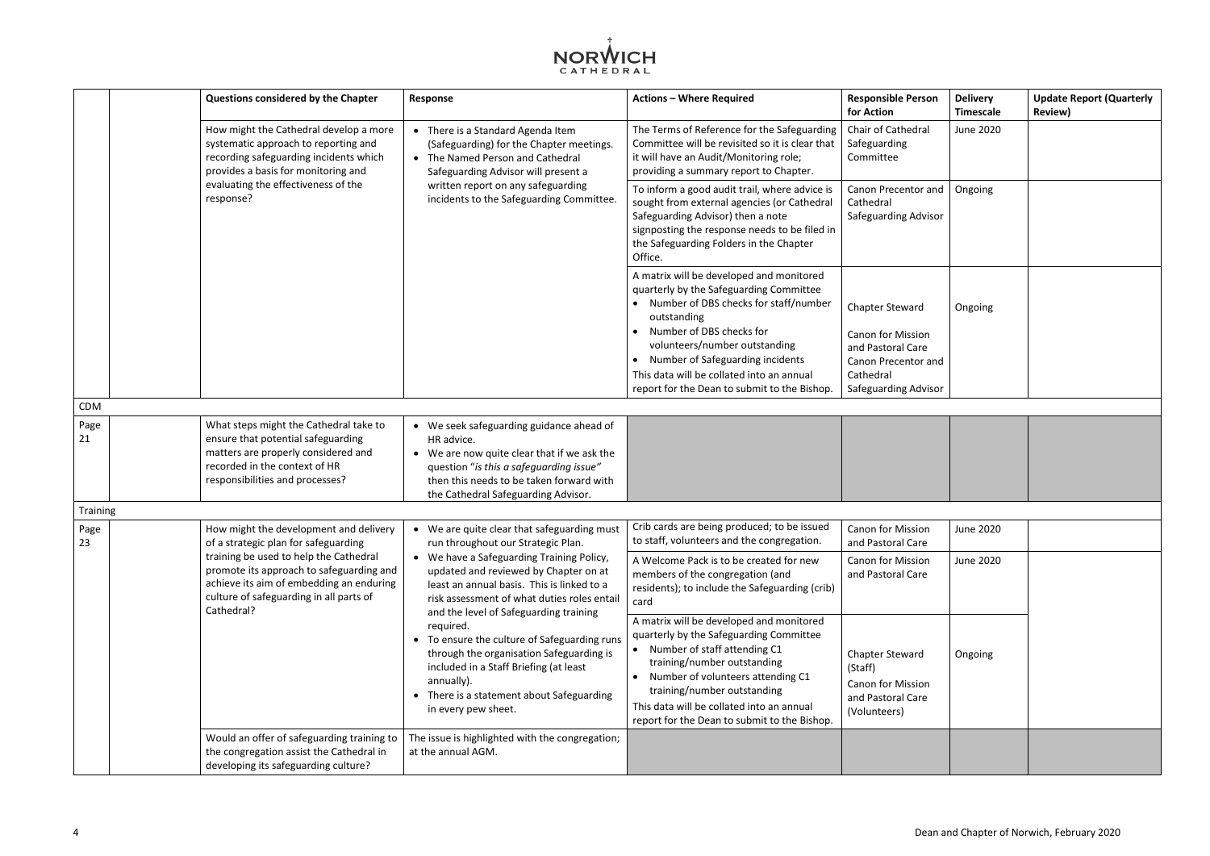

|            | Questions considered by the Chapter                                                                                                                                                     | Response                                                                                                                                                                                                                                                                                                                                                                                                                                                       | <b>Actions - Where Required</b>                                                                                                                                                                                                                                                                                         | <b>Responsible Person</b><br>for Action                                                                     | <b>Delivery</b><br><b>Timescale</b> | <b>Update Report (Quarterly</b><br><b>Review)</b> |
|------------|-----------------------------------------------------------------------------------------------------------------------------------------------------------------------------------------|----------------------------------------------------------------------------------------------------------------------------------------------------------------------------------------------------------------------------------------------------------------------------------------------------------------------------------------------------------------------------------------------------------------------------------------------------------------|-------------------------------------------------------------------------------------------------------------------------------------------------------------------------------------------------------------------------------------------------------------------------------------------------------------------------|-------------------------------------------------------------------------------------------------------------|-------------------------------------|---------------------------------------------------|
|            | How might the Cathedral develop a more<br>systematic approach to reporting and<br>recording safeguarding incidents which<br>provides a basis for monitoring and                         | • There is a Standard Agenda Item<br>(Safeguarding) for the Chapter meetings.<br>• The Named Person and Cathedral<br>Safeguarding Advisor will present a<br>evaluating the effectiveness of the<br>written report on any safeguarding<br>response?<br>incidents to the Safeguarding Committee.                                                                                                                                                                 | The Terms of Reference for the Safeguarding<br>Committee will be revisited so it is clear that<br>it will have an Audit/Monitoring role;<br>providing a summary report to Chapter.                                                                                                                                      | Chair of Cathedral<br>Safeguarding<br>Committee                                                             | June 2020                           |                                                   |
|            |                                                                                                                                                                                         |                                                                                                                                                                                                                                                                                                                                                                                                                                                                | To inform a good audit trail, where advice is<br>sought from external agencies (or Cathedral<br>Safeguarding Advisor) then a note<br>signposting the response needs to be filed in<br>the Safeguarding Folders in the Chapter<br>Office.                                                                                | Canon Precentor and<br>Cathedral<br><b>Safeguarding Advisor</b>                                             | Ongoing                             |                                                   |
|            |                                                                                                                                                                                         |                                                                                                                                                                                                                                                                                                                                                                                                                                                                | A matrix will be developed and monitored<br>quarterly by the Safeguarding Committee<br>• Number of DBS checks for staff/number<br>outstanding<br>Number of DBS checks for<br>volunteers/number outstanding<br>Number of Safeguarding incidents<br>This data will be collated into an annual                             | <b>Chapter Steward</b><br><b>Canon for Mission</b><br>and Pastoral Care<br>Canon Precentor and<br>Cathedral | Ongoing                             |                                                   |
| CDM        |                                                                                                                                                                                         |                                                                                                                                                                                                                                                                                                                                                                                                                                                                | report for the Dean to submit to the Bishop.                                                                                                                                                                                                                                                                            | <b>Safeguarding Advisor</b>                                                                                 |                                     |                                                   |
| Page<br>21 | What steps might the Cathedral take to<br>ensure that potential safeguarding<br>matters are properly considered and<br>recorded in the context of HR<br>responsibilities and processes? | • We seek safeguarding guidance ahead of<br>HR advice.<br>• We are now quite clear that if we ask the<br>question "is this a safeguarding issue"<br>then this needs to be taken forward with<br>the Cathedral Safeguarding Advisor.                                                                                                                                                                                                                            |                                                                                                                                                                                                                                                                                                                         |                                                                                                             |                                     |                                                   |
| Training   |                                                                                                                                                                                         |                                                                                                                                                                                                                                                                                                                                                                                                                                                                |                                                                                                                                                                                                                                                                                                                         |                                                                                                             |                                     |                                                   |
| Page<br>23 | How might the development and delivery<br>of a strategic plan for safeguarding                                                                                                          | • We are quite clear that safeguarding must<br>run throughout our Strategic Plan.                                                                                                                                                                                                                                                                                                                                                                              | Crib cards are being produced; to be issued<br>to staff, volunteers and the congregation.                                                                                                                                                                                                                               | Canon for Mission<br>and Pastoral Care                                                                      | <b>June 2020</b>                    |                                                   |
|            | training be used to help the Cathedral<br>promote its approach to safeguarding and<br>achieve its aim of embedding an enduring<br>culture of safeguarding in all parts of<br>Cathedral? | • We have a Safeguarding Training Policy,<br>updated and reviewed by Chapter on at<br>least an annual basis. This is linked to a<br>risk assessment of what duties roles entail<br>and the level of Safeguarding training<br>required.<br>• To ensure the culture of Safeguarding runs<br>through the organisation Safeguarding is<br>included in a Staff Briefing (at least<br>annually).<br>• There is a statement about Safeguarding<br>in every pew sheet. | A Welcome Pack is to be created for new<br>members of the congregation (and<br>residents); to include the Safeguarding (crib)<br>card                                                                                                                                                                                   | <b>Canon for Mission</b><br>and Pastoral Care                                                               | June 2020                           |                                                   |
|            |                                                                                                                                                                                         |                                                                                                                                                                                                                                                                                                                                                                                                                                                                | A matrix will be developed and monitored<br>quarterly by the Safeguarding Committee<br>• Number of staff attending C1<br>training/number outstanding<br>• Number of volunteers attending C1<br>training/number outstanding<br>This data will be collated into an annual<br>report for the Dean to submit to the Bishop. | <b>Chapter Steward</b><br>(Staff)<br><b>Canon for Mission</b><br>and Pastoral Care<br>(Volunteers)          | Ongoing                             |                                                   |
|            | Would an offer of safeguarding training to<br>the congregation assist the Cathedral in<br>developing its safeguarding culture?                                                          | The issue is highlighted with the congregation;<br>at the annual AGM.                                                                                                                                                                                                                                                                                                                                                                                          |                                                                                                                                                                                                                                                                                                                         |                                                                                                             |                                     |                                                   |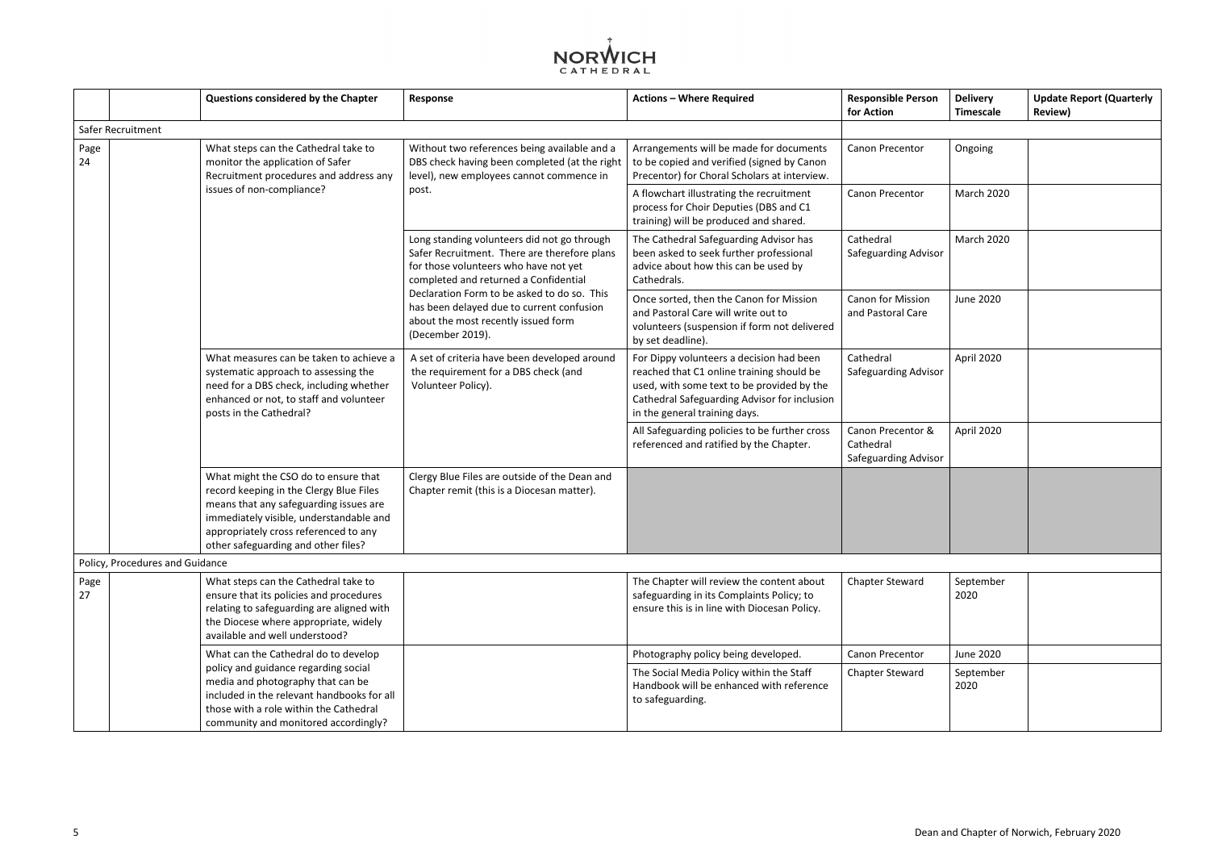

|                                 | Questions considered by the Chapter                                                                                                                                                                                                                  | Response                                                                                                                                                                      | <b>Actions - Where Required</b>                                                                                                                                                                                      | <b>Responsible Person</b><br>for Action                       | <b>Delivery</b><br>Timescale |
|---------------------------------|------------------------------------------------------------------------------------------------------------------------------------------------------------------------------------------------------------------------------------------------------|-------------------------------------------------------------------------------------------------------------------------------------------------------------------------------|----------------------------------------------------------------------------------------------------------------------------------------------------------------------------------------------------------------------|---------------------------------------------------------------|------------------------------|
| Safer Recruitment               |                                                                                                                                                                                                                                                      |                                                                                                                                                                               |                                                                                                                                                                                                                      |                                                               |                              |
| Page<br>24                      | What steps can the Cathedral take to<br>monitor the application of Safer<br>Recruitment procedures and address any                                                                                                                                   | Without two references being available and a<br>DBS check having been completed (at the right<br>level), new employees cannot commence in                                     | Arrangements will be made for documents<br>to be copied and verified (signed by Canon<br>Precentor) for Choral Scholars at interview.                                                                                | Canon Precentor                                               | Ongoing                      |
|                                 | issues of non-compliance?                                                                                                                                                                                                                            | post.                                                                                                                                                                         | A flowchart illustrating the recruitment<br>process for Choir Deputies (DBS and C1<br>training) will be produced and shared.                                                                                         | Canon Precentor                                               | March 202                    |
|                                 |                                                                                                                                                                                                                                                      | Long standing volunteers did not go through<br>Safer Recruitment. There are therefore plans<br>for those volunteers who have not yet<br>completed and returned a Confidential | The Cathedral Safeguarding Advisor has<br>been asked to seek further professional<br>advice about how this can be used by<br>Cathedrals.                                                                             | Cathedral<br><b>Safeguarding Advisor</b>                      | March 202                    |
|                                 |                                                                                                                                                                                                                                                      | Declaration Form to be asked to do so. This<br>has been delayed due to current confusion<br>about the most recently issued form<br>(December 2019).                           | Once sorted, then the Canon for Mission<br>and Pastoral Care will write out to<br>volunteers (suspension if form not delivered<br>by set deadline).                                                                  | <b>Canon for Mission</b><br>and Pastoral Care                 | <b>June 2020</b>             |
|                                 | What measures can be taken to achieve a<br>systematic approach to assessing the<br>need for a DBS check, including whether<br>enhanced or not, to staff and volunteer<br>posts in the Cathedral?                                                     | A set of criteria have been developed around<br>the requirement for a DBS check (and<br>Volunteer Policy).                                                                    | For Dippy volunteers a decision had been<br>reached that C1 online training should be<br>used, with some text to be provided by the<br>Cathedral Safeguarding Advisor for inclusion<br>in the general training days. | Cathedral<br>Safeguarding Advisor                             | April 2020                   |
|                                 |                                                                                                                                                                                                                                                      |                                                                                                                                                                               | All Safeguarding policies to be further cross<br>referenced and ratified by the Chapter.                                                                                                                             | Canon Precentor &<br>Cathedral<br><b>Safeguarding Advisor</b> | April 2020                   |
|                                 | What might the CSO do to ensure that<br>record keeping in the Clergy Blue Files<br>means that any safeguarding issues are<br>immediately visible, understandable and<br>appropriately cross referenced to any<br>other safeguarding and other files? | Clergy Blue Files are outside of the Dean and<br>Chapter remit (this is a Diocesan matter).                                                                                   |                                                                                                                                                                                                                      |                                                               |                              |
| Policy, Procedures and Guidance |                                                                                                                                                                                                                                                      |                                                                                                                                                                               |                                                                                                                                                                                                                      |                                                               |                              |
| Page<br>27                      | What steps can the Cathedral take to<br>ensure that its policies and procedures<br>relating to safeguarding are aligned with<br>the Diocese where appropriate, widely<br>available and well understood?                                              |                                                                                                                                                                               | The Chapter will review the content about<br>safeguarding in its Complaints Policy; to<br>ensure this is in line with Diocesan Policy.                                                                               | <b>Chapter Steward</b>                                        | Septembe<br>2020             |
|                                 | What can the Cathedral do to develop                                                                                                                                                                                                                 |                                                                                                                                                                               | Photography policy being developed.                                                                                                                                                                                  | Canon Precentor                                               | <b>June 2020</b>             |
|                                 | policy and guidance regarding social<br>media and photography that can be<br>included in the relevant handbooks for all<br>those with a role within the Cathedral<br>community and monitored accordingly?                                            |                                                                                                                                                                               | The Social Media Policy within the Staff<br>Handbook will be enhanced with reference<br>to safeguarding.                                                                                                             | <b>Chapter Steward</b>                                        | Septembe<br>2020             |

| <b>Responsible Person</b><br>for Action                | <b>Delivery</b><br><b>Timescale</b> | <b>Update Report (Quarterly</b><br><b>Review)</b> |
|--------------------------------------------------------|-------------------------------------|---------------------------------------------------|
|                                                        |                                     |                                                   |
| Canon Precentor                                        | Ongoing                             |                                                   |
| Canon Precentor                                        | March 2020                          |                                                   |
| Cathedral<br>Safeguarding Advisor                      | March 2020                          |                                                   |
| Canon for Mission<br>and Pastoral Care                 | <b>June 2020</b>                    |                                                   |
| Cathedral<br>Safeguarding Advisor                      | April 2020                          |                                                   |
| Canon Precentor &<br>Cathedral<br>Safeguarding Advisor | April 2020                          |                                                   |
|                                                        |                                     |                                                   |
|                                                        |                                     |                                                   |
| <b>Chapter Steward</b>                                 | September<br>2020                   |                                                   |
| Canon Precentor                                        | <b>June 2020</b>                    |                                                   |
| <b>Chapter Steward</b>                                 | September<br>2020                   |                                                   |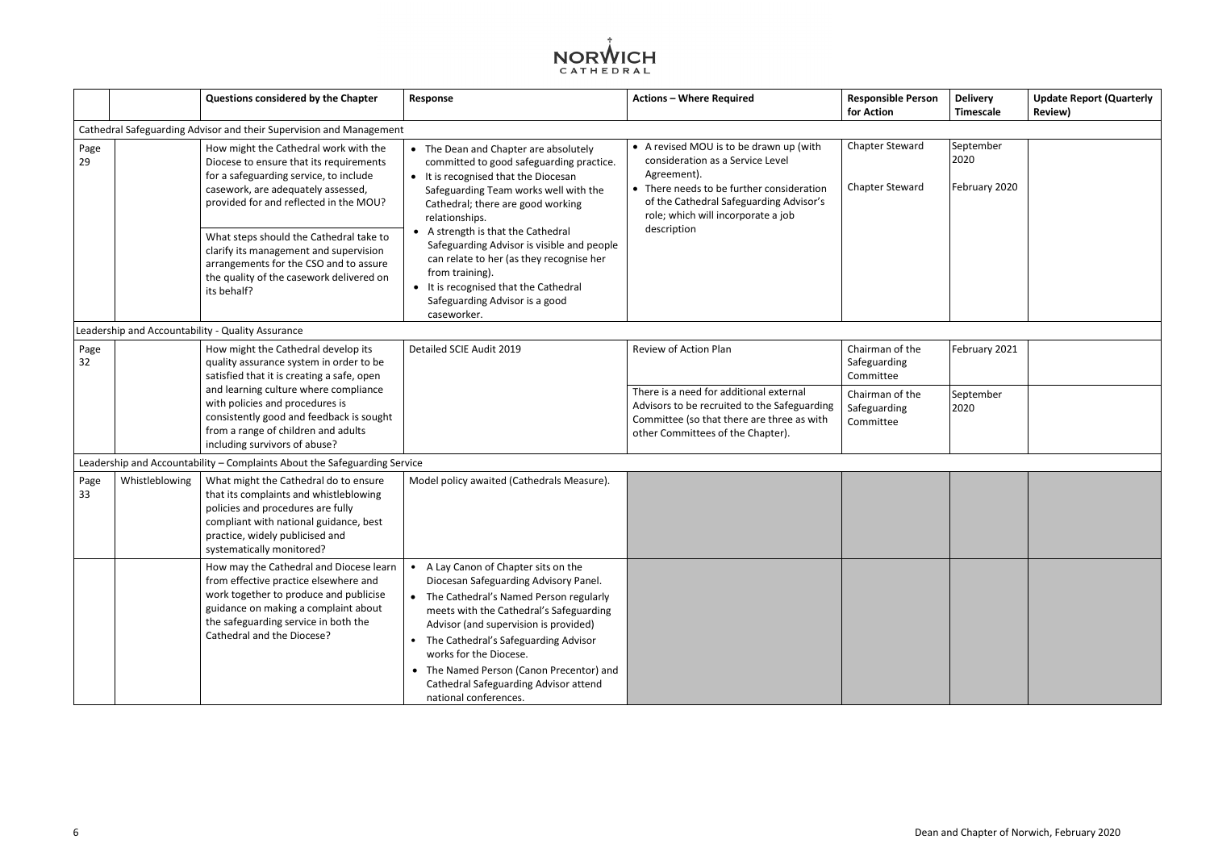

|            |                | Questions considered by the Chapter                                                                                                                                                                                                      | Response                                                                                                                                                                                                                                                                                                                                                                                               | <b>Actions - Where Required</b>                                                                                                                                                                                          | <b>Responsible Person</b><br>for Action          | <b>Delivery</b><br><b>Timescale</b> | <b>Update Report (Quarterly</b><br><b>Review)</b> |
|------------|----------------|------------------------------------------------------------------------------------------------------------------------------------------------------------------------------------------------------------------------------------------|--------------------------------------------------------------------------------------------------------------------------------------------------------------------------------------------------------------------------------------------------------------------------------------------------------------------------------------------------------------------------------------------------------|--------------------------------------------------------------------------------------------------------------------------------------------------------------------------------------------------------------------------|--------------------------------------------------|-------------------------------------|---------------------------------------------------|
|            |                | Cathedral Safeguarding Advisor and their Supervision and Management                                                                                                                                                                      |                                                                                                                                                                                                                                                                                                                                                                                                        |                                                                                                                                                                                                                          |                                                  |                                     |                                                   |
| Page<br>29 |                | How might the Cathedral work with the<br>Diocese to ensure that its requirements<br>for a safeguarding service, to include<br>casework, are adequately assessed,<br>provided for and reflected in the MOU?                               | • The Dean and Chapter are absolutely<br>committed to good safeguarding practice.<br>• It is recognised that the Diocesan<br>Safeguarding Team works well with the<br>Cathedral; there are good working<br>relationships.                                                                                                                                                                              | • A revised MOU is to be drawn up (with<br>consideration as a Service Level<br>Agreement).<br>• There needs to be further consideration<br>of the Cathedral Safeguarding Advisor's<br>role; which will incorporate a job | <b>Chapter Steward</b><br><b>Chapter Steward</b> | September<br>2020<br>February 2020  |                                                   |
|            |                | What steps should the Cathedral take to<br>clarify its management and supervision<br>arrangements for the CSO and to assure<br>the quality of the casework delivered on<br>its behalf?                                                   | • A strength is that the Cathedral<br>Safeguarding Advisor is visible and people<br>can relate to her (as they recognise her<br>from training).<br>• It is recognised that the Cathedral<br>Safeguarding Advisor is a good<br>caseworker.                                                                                                                                                              | description                                                                                                                                                                                                              |                                                  |                                     |                                                   |
|            |                | Leadership and Accountability - Quality Assurance                                                                                                                                                                                        |                                                                                                                                                                                                                                                                                                                                                                                                        |                                                                                                                                                                                                                          |                                                  |                                     |                                                   |
| Page<br>32 |                | How might the Cathedral develop its<br>quality assurance system in order to be<br>satisfied that it is creating a safe, open                                                                                                             | Detailed SCIE Audit 2019                                                                                                                                                                                                                                                                                                                                                                               | Review of Action Plan                                                                                                                                                                                                    | Chairman of the<br>Safeguarding<br>Committee     | February 2021                       |                                                   |
|            |                | and learning culture where compliance<br>with policies and procedures is<br>consistently good and feedback is sought<br>from a range of children and adults<br>including survivors of abuse?                                             |                                                                                                                                                                                                                                                                                                                                                                                                        | There is a need for additional external<br>Advisors to be recruited to the Safeguarding<br>Committee (so that there are three as with<br>other Committees of the Chapter).                                               | Chairman of the<br>Safeguarding<br>Committee     | September<br>2020                   |                                                   |
|            |                | Leadership and Accountability - Complaints About the Safeguarding Service                                                                                                                                                                |                                                                                                                                                                                                                                                                                                                                                                                                        |                                                                                                                                                                                                                          |                                                  |                                     |                                                   |
| Page<br>33 | Whistleblowing | What might the Cathedral do to ensure<br>that its complaints and whistleblowing<br>policies and procedures are fully<br>compliant with national guidance, best<br>practice, widely publicised and<br>systematically monitored?           | Model policy awaited (Cathedrals Measure).                                                                                                                                                                                                                                                                                                                                                             |                                                                                                                                                                                                                          |                                                  |                                     |                                                   |
|            |                | How may the Cathedral and Diocese learn<br>from effective practice elsewhere and<br>work together to produce and publicise<br>guidance on making a complaint about<br>the safeguarding service in both the<br>Cathedral and the Diocese? | A Lay Canon of Chapter sits on the<br>Diocesan Safeguarding Advisory Panel.<br>The Cathedral's Named Person regularly<br>meets with the Cathedral's Safeguarding<br>Advisor (and supervision is provided)<br>The Cathedral's Safeguarding Advisor<br>$\bullet$<br>works for the Diocese.<br>• The Named Person (Canon Precentor) and<br>Cathedral Safeguarding Advisor attend<br>national conferences. |                                                                                                                                                                                                                          |                                                  |                                     |                                                   |